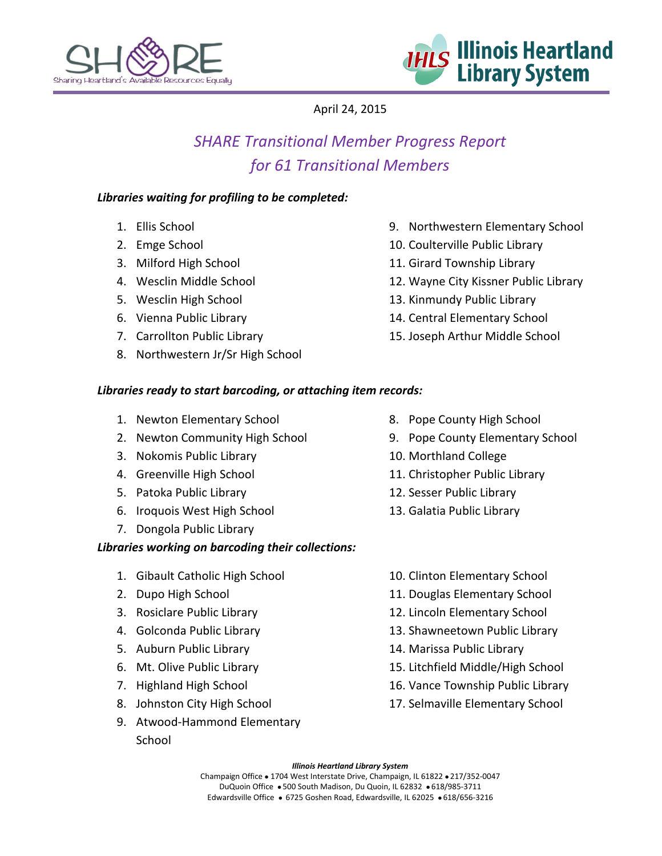



April 24, 2015

# *SHARE Transitional Member Progress Report for 61 Transitional Members*

#### *Libraries waiting for profiling to be completed:*

- 1. Ellis School
- 2. Emge School
- 3. Milford High School
- 4. Wesclin Middle School
- 5. Wesclin High School
- 6. Vienna Public Library
- 7. Carrollton Public Library
- 8. Northwestern Jr/Sr High School
- 9. Northwestern Elementary School
- 10. Coulterville Public Library
- 11. Girard Township Library
- 12. Wayne City Kissner Public Library
- 13. Kinmundy Public Library
- 14. Central Elementary School
- 15. Joseph Arthur Middle School

### *Libraries ready to start barcoding, or attaching item records:*

- 1. Newton Elementary School
- 2. Newton Community High School
- 3. Nokomis Public Library
- 4. Greenville High School
- 5. Patoka Public Library
- 6. Iroquois West High School
- 7. Dongola Public Library

## *Libraries working on barcoding their collections:*

- 1. Gibault Catholic High School
- 2. Dupo High School
- 3. Rosiclare Public Library
- 4. Golconda Public Library
- 5. Auburn Public Library
- 6. Mt. Olive Public Library
- 7. Highland High School
- 8. Johnston City High School
- 9. Atwood-Hammond Elementary School
- 8. Pope County High School
- 9. Pope County Elementary School
- 10. Morthland College
- 11. Christopher Public Library
- 12. Sesser Public Library
- 13. Galatia Public Library
- 10. Clinton Elementary School
- 11. Douglas Elementary School
- 12. Lincoln Elementary School
- 13. Shawneetown Public Library
- 14. Marissa Public Library
- 15. Litchfield Middle/High School
- 16. Vance Township Public Library
- 17. Selmaville Elementary School

#### *Illinois Heartland Library System*

Champaign Office . 1704 West Interstate Drive, Champaign, IL 61822 . 217/352-0047 DuQuoin Office . 500 South Madison, Du Quoin, IL 62832 . 618/985-3711 Edwardsville Office · 6725 Goshen Road, Edwardsville, IL 62025 · 618/656-3216